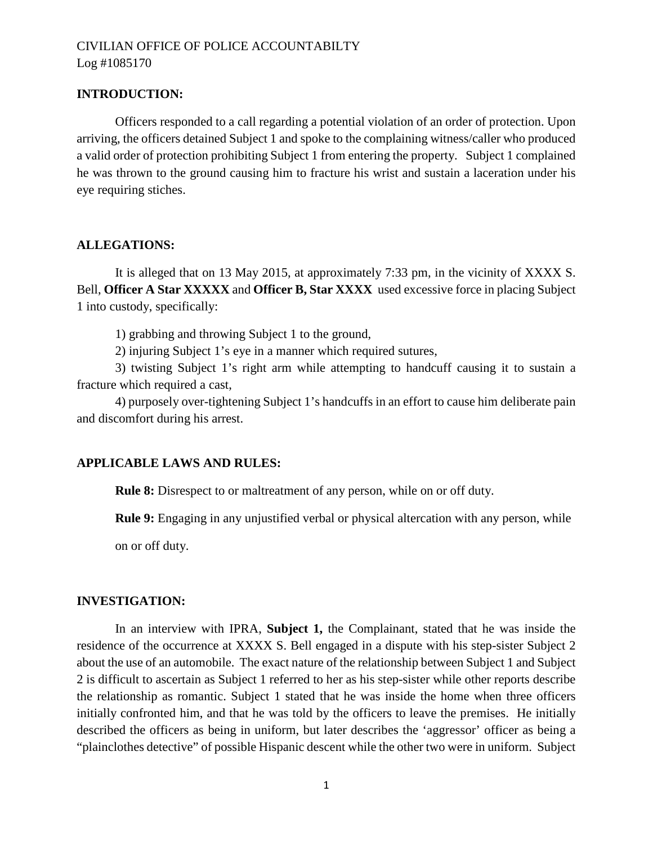#### **INTRODUCTION:**

Officers responded to a call regarding a potential violation of an order of protection. Upon arriving, the officers detained Subject 1 and spoke to the complaining witness/caller who produced a valid order of protection prohibiting Subject 1 from entering the property. Subject 1 complained he was thrown to the ground causing him to fracture his wrist and sustain a laceration under his eye requiring stiches.

#### **ALLEGATIONS:**

It is alleged that on 13 May 2015, at approximately 7:33 pm, in the vicinity of XXXX S. Bell, **Officer A Star XXXXX** and **Officer B, Star XXXX** used excessive force in placing Subject 1 into custody, specifically:

1) grabbing and throwing Subject 1 to the ground,

2) injuring Subject 1's eye in a manner which required sutures,

3) twisting Subject 1's right arm while attempting to handcuff causing it to sustain a fracture which required a cast,

4) purposely over-tightening Subject 1's handcuffs in an effort to cause him deliberate pain and discomfort during his arrest.

## **APPLICABLE LAWS AND RULES:**

**Rule 8:** Disrespect to or maltreatment of any person, while on or off duty.

**Rule 9:** Engaging in any unjustified verbal or physical altercation with any person, while

on or off duty.

## **INVESTIGATION:**

In an interview with IPRA, **Subject 1,** the Complainant, stated that he was inside the residence of the occurrence at XXXX S. Bell engaged in a dispute with his step-sister Subject 2 about the use of an automobile. The exact nature of the relationship between Subject 1 and Subject 2 is difficult to ascertain as Subject 1 referred to her as his step-sister while other reports describe the relationship as romantic. Subject 1 stated that he was inside the home when three officers initially confronted him, and that he was told by the officers to leave the premises. He initially described the officers as being in uniform, but later describes the 'aggressor' officer as being a "plainclothes detective" of possible Hispanic descent while the other two were in uniform. Subject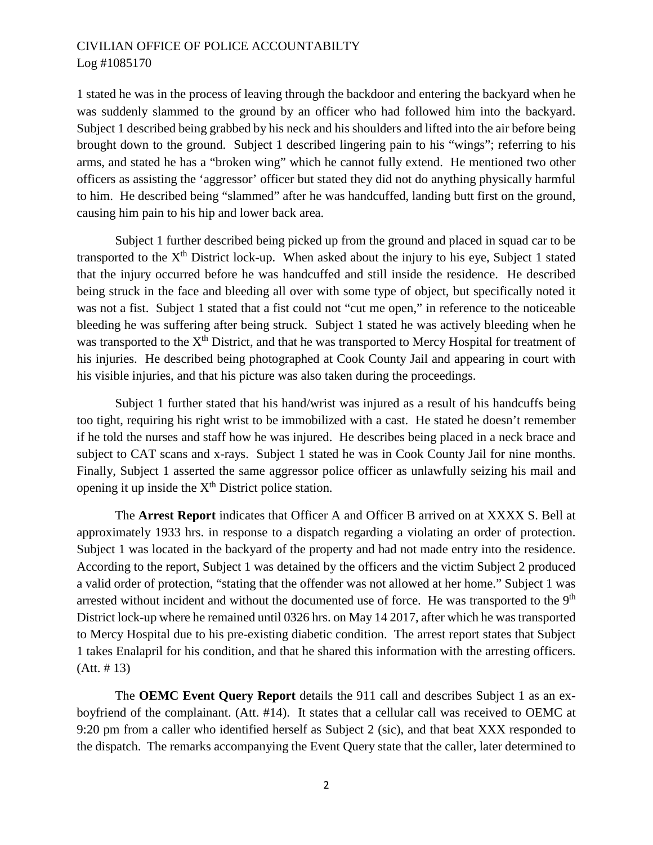1 stated he was in the process of leaving through the backdoor and entering the backyard when he was suddenly slammed to the ground by an officer who had followed him into the backyard. Subject 1 described being grabbed by his neck and his shoulders and lifted into the air before being brought down to the ground. Subject 1 described lingering pain to his "wings"; referring to his arms, and stated he has a "broken wing" which he cannot fully extend. He mentioned two other officers as assisting the 'aggressor' officer but stated they did not do anything physically harmful to him. He described being "slammed" after he was handcuffed, landing butt first on the ground, causing him pain to his hip and lower back area.

Subject 1 further described being picked up from the ground and placed in squad car to be transported to the  $X<sup>th</sup>$  District lock-up. When asked about the injury to his eye, Subject 1 stated that the injury occurred before he was handcuffed and still inside the residence. He described being struck in the face and bleeding all over with some type of object, but specifically noted it was not a fist. Subject 1 stated that a fist could not "cut me open," in reference to the noticeable bleeding he was suffering after being struck. Subject 1 stated he was actively bleeding when he was transported to the X<sup>th</sup> District, and that he was transported to Mercy Hospital for treatment of his injuries. He described being photographed at Cook County Jail and appearing in court with his visible injuries, and that his picture was also taken during the proceedings.

Subject 1 further stated that his hand/wrist was injured as a result of his handcuffs being too tight, requiring his right wrist to be immobilized with a cast. He stated he doesn't remember if he told the nurses and staff how he was injured. He describes being placed in a neck brace and subject to CAT scans and x-rays. Subject 1 stated he was in Cook County Jail for nine months. Finally, Subject 1 asserted the same aggressor police officer as unlawfully seizing his mail and opening it up inside the  $X<sup>th</sup>$  District police station.

The **Arrest Report** indicates that Officer A and Officer B arrived on at XXXX S. Bell at approximately 1933 hrs. in response to a dispatch regarding a violating an order of protection. Subject 1 was located in the backyard of the property and had not made entry into the residence. According to the report, Subject 1 was detained by the officers and the victim Subject 2 produced a valid order of protection, "stating that the offender was not allowed at her home." Subject 1 was arrested without incident and without the documented use of force. He was transported to the 9<sup>th</sup> District lock-up where he remained until 0326 hrs. on May 14 2017, after which he was transported to Mercy Hospital due to his pre-existing diabetic condition. The arrest report states that Subject 1 takes Enalapril for his condition, and that he shared this information with the arresting officers. (Att. # 13)

The **OEMC Event Query Report** details the 911 call and describes Subject 1 as an exboyfriend of the complainant. (Att. #14). It states that a cellular call was received to OEMC at 9:20 pm from a caller who identified herself as Subject 2 (sic), and that beat XXX responded to the dispatch. The remarks accompanying the Event Query state that the caller, later determined to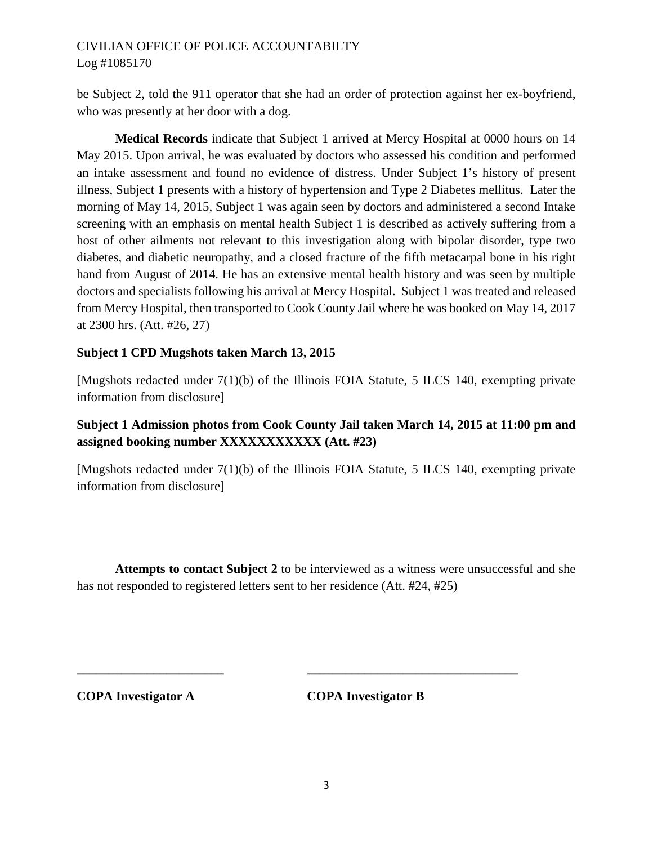be Subject 2, told the 911 operator that she had an order of protection against her ex-boyfriend, who was presently at her door with a dog.

**Medical Records** indicate that Subject 1 arrived at Mercy Hospital at 0000 hours on 14 May 2015. Upon arrival, he was evaluated by doctors who assessed his condition and performed an intake assessment and found no evidence of distress. Under Subject 1's history of present illness, Subject 1 presents with a history of hypertension and Type 2 Diabetes mellitus. Later the morning of May 14, 2015, Subject 1 was again seen by doctors and administered a second Intake screening with an emphasis on mental health Subject 1 is described as actively suffering from a host of other ailments not relevant to this investigation along with bipolar disorder, type two diabetes, and diabetic neuropathy, and a closed fracture of the fifth metacarpal bone in his right hand from August of 2014. He has an extensive mental health history and was seen by multiple doctors and specialists following his arrival at Mercy Hospital. Subject 1 was treated and released from Mercy Hospital, then transported to Cook County Jail where he was booked on May 14, 2017 at 2300 hrs. (Att. #26, 27)

## **Subject 1 CPD Mugshots taken March 13, 2015**

[Mugshots redacted under 7(1)(b) of the Illinois FOIA Statute, 5 ILCS 140, exempting private information from disclosure]

# **Subject 1 Admission photos from Cook County Jail taken March 14, 2015 at 11:00 pm and assigned booking number XXXXXXXXXXX (Att. #23)**

[Mugshots redacted under 7(1)(b) of the Illinois FOIA Statute, 5 ILCS 140, exempting private information from disclosure]

**Attempts to contact Subject 2** to be interviewed as a witness were unsuccessful and she has not responded to registered letters sent to her residence (Att. #24, #25)

**\_\_\_\_\_\_\_\_\_\_\_\_\_\_\_\_\_\_\_\_\_\_\_ \_\_\_\_\_\_\_\_\_\_\_\_\_\_\_\_\_\_\_\_\_\_\_\_\_\_\_\_\_\_\_\_\_**

**COPA Investigator A COPA Investigator B**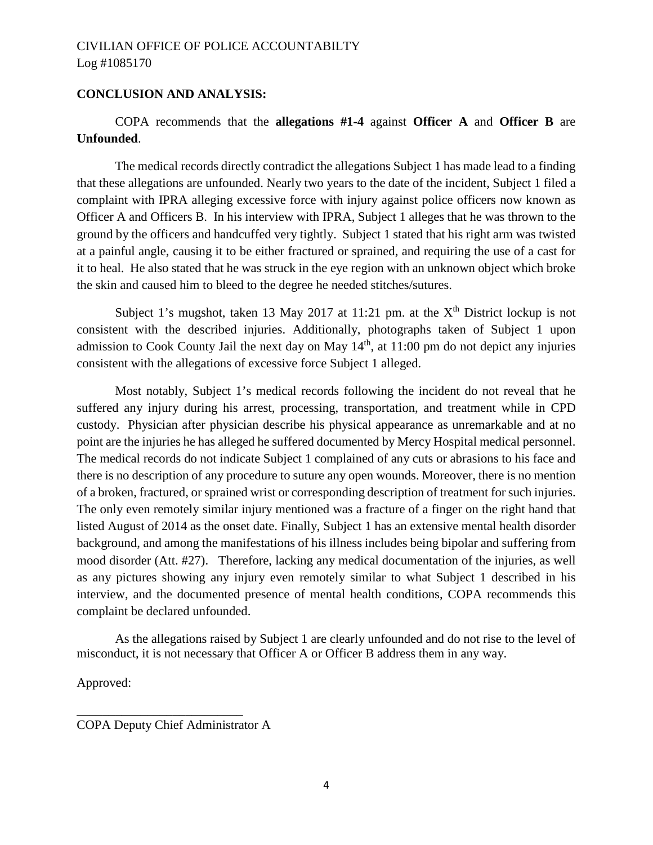## **CONCLUSION AND ANALYSIS:**

# COPA recommends that the **allegations #1-4** against **Officer A** and **Officer B** are **Unfounded**.

The medical records directly contradict the allegations Subject 1 has made lead to a finding that these allegations are unfounded. Nearly two years to the date of the incident, Subject 1 filed a complaint with IPRA alleging excessive force with injury against police officers now known as Officer A and Officers B. In his interview with IPRA, Subject 1 alleges that he was thrown to the ground by the officers and handcuffed very tightly. Subject 1 stated that his right arm was twisted at a painful angle, causing it to be either fractured or sprained, and requiring the use of a cast for it to heal. He also stated that he was struck in the eye region with an unknown object which broke the skin and caused him to bleed to the degree he needed stitches/sutures.

Subject 1's mugshot, taken 13 May 2017 at 11:21 pm. at the  $X<sup>th</sup>$  District lockup is not consistent with the described injuries. Additionally, photographs taken of Subject 1 upon admission to Cook County Jail the next day on May  $14<sup>th</sup>$ , at  $11:00$  pm do not depict any injuries consistent with the allegations of excessive force Subject 1 alleged.

Most notably, Subject 1's medical records following the incident do not reveal that he suffered any injury during his arrest, processing, transportation, and treatment while in CPD custody. Physician after physician describe his physical appearance as unremarkable and at no point are the injuries he has alleged he suffered documented by Mercy Hospital medical personnel. The medical records do not indicate Subject 1 complained of any cuts or abrasions to his face and there is no description of any procedure to suture any open wounds. Moreover, there is no mention of a broken, fractured, or sprained wrist or corresponding description of treatment for such injuries. The only even remotely similar injury mentioned was a fracture of a finger on the right hand that listed August of 2014 as the onset date. Finally, Subject 1 has an extensive mental health disorder background, and among the manifestations of his illness includes being bipolar and suffering from mood disorder (Att. #27). Therefore, lacking any medical documentation of the injuries, as well as any pictures showing any injury even remotely similar to what Subject 1 described in his interview, and the documented presence of mental health conditions, COPA recommends this complaint be declared unfounded.

As the allegations raised by Subject 1 are clearly unfounded and do not rise to the level of misconduct, it is not necessary that Officer A or Officer B address them in any way.

Approved:

\_\_\_\_\_\_\_\_\_\_\_\_\_\_\_\_\_\_\_\_\_\_\_\_\_\_

COPA Deputy Chief Administrator A